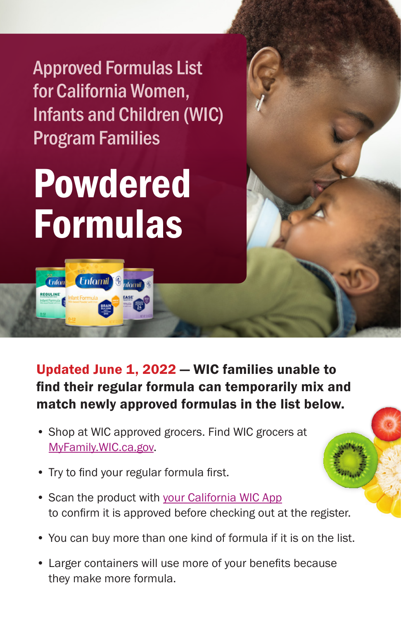Approved Formulas List for California Women, Infants and Children (WIC) Program Families

## Powdered Formulas

**tomil** 

**Enfomil** 

Enfan

Updated June 1, 2022 — WIC families unable to find their regular formula can temporarily mix and match newly approved formulas in the list below.

- Shop at WIC approved grocers. Find WIC grocers at [MyFamily.WIC.ca.gov.](http://MyFamily.WIC.ca.gov)
- Try to find your regular formula first.
- Scan the product with [your California WIC App](https://www.myfamily.wic.ca.gov/Home/WICApp#WICApp) to confirm it is approved before checking out at the register.
- You can buy more than one kind of formula if it is on the list.
- Larger containers will use more of your benefits because they make more formula.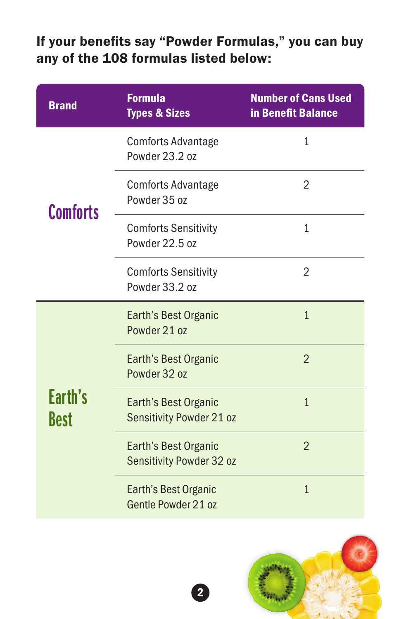## If your benefits say "Powder Formulas," you can buy any of the 108 formulas listed below:

| <b>Brand</b>    | <b>Formula</b><br><b>Types &amp; Sizes</b>       | <b>Number of Cans Used</b><br>in Benefit Balance |
|-----------------|--------------------------------------------------|--------------------------------------------------|
|                 | <b>Comforts Advantage</b><br>Powder 23.2 oz      | 1                                                |
| <b>Comforts</b> | <b>Comforts Advantage</b><br>Powder 35 oz        | 2                                                |
|                 | <b>Comforts Sensitivity</b><br>Powder 22.5 oz    | $\mathbf{1}$                                     |
|                 | <b>Comforts Sensitivity</b><br>Powder 33.2 oz    | $\overline{2}$                                   |
|                 | Earth's Best Organic<br>Powder 21 oz             | $\overline{1}$                                   |
|                 | Earth's Best Organic<br>Powder 32 oz             | $\overline{2}$                                   |
| Earth's<br>Best | Earth's Best Organic<br>Sensitivity Powder 21 oz | $\mathbf{1}$                                     |
|                 | Earth's Best Organic<br>Sensitivity Powder 32 oz | $\overline{2}$                                   |
|                 | Earth's Best Organic<br>Gentle Powder 21 oz      | $\overline{1}$                                   |

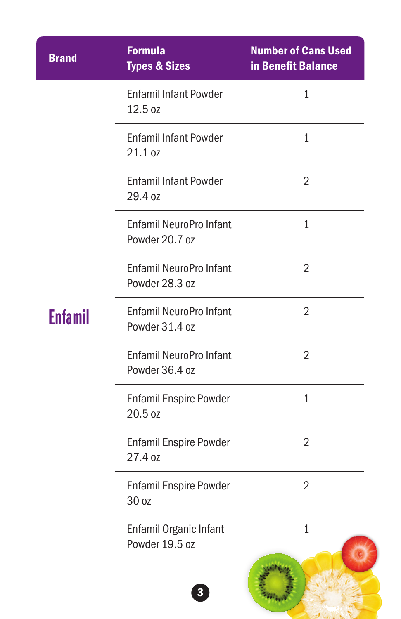| <b>Brand</b> | <b>Formula</b><br><b>Types &amp; Sizes</b>       | <b>Number of Cans Used</b><br>in Benefit Balance |
|--------------|--------------------------------------------------|--------------------------------------------------|
|              | <b>Enfamil Infant Powder</b><br>12.5 oz          | $\mathbf{1}$                                     |
|              | <b>Enfamil Infant Powder</b><br>21.1 oz          | 1                                                |
|              | <b>Enfamil Infant Powder</b><br>29.4 oz          | 2                                                |
|              | <b>Enfamil NeuroPro Infant</b><br>Powder 20.7 oz | 1                                                |
|              | Enfamil NeuroPro Infant<br>Powder 28.3 oz        | 2                                                |
| Enfamil      | <b>Enfamil NeuroPro Infant</b><br>Powder 31.4 oz | 2                                                |
|              | <b>Enfamil NeuroPro Infant</b><br>Powder 36.4 oz | $\overline{2}$                                   |
|              | <b>Enfamil Enspire Powder</b><br>20.5 oz         | 1                                                |
|              | <b>Enfamil Enspire Powder</b><br>27.4 oz         | 2                                                |
|              | <b>Enfamil Enspire Powder</b><br>30 oz           | 2                                                |
|              | Enfamil Organic Infant<br>Powder 19.5 oz         | $\mathbf{1}$                                     |
|              | $\overline{\mathbf{3}}$                          |                                                  |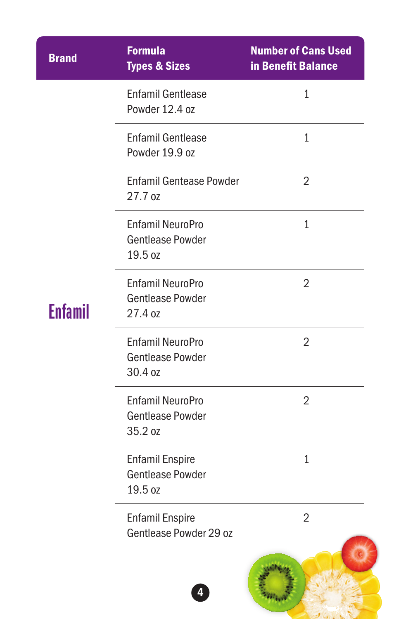| <b>Brand</b>   | <b>Formula</b><br><b>Types &amp; Sizes</b>                    | <b>Number of Cans Used</b><br>in Benefit Balance |
|----------------|---------------------------------------------------------------|--------------------------------------------------|
|                | <b>Enfamil Gentlease</b><br>Powder 12.4 oz                    | $\mathbf{1}$                                     |
|                | <b>Enfamil Gentlease</b><br>Powder 19.9 oz                    | $\mathbf{1}$                                     |
|                | <b>Enfamil Gentease Powder</b><br>27.7 oz                     | 2                                                |
|                | <b>Enfamil NeuroPro</b><br><b>Gentlease Powder</b><br>19.5 oz | 1                                                |
| <b>Enfamil</b> | <b>Enfamil NeuroPro</b><br><b>Gentlease Powder</b><br>27.4 oz | $\overline{2}$                                   |
|                | <b>Enfamil NeuroPro</b><br><b>Gentlease Powder</b><br>30.4 oz | $\overline{2}$                                   |
|                | <b>Enfamil NeuroPro</b><br><b>Gentlease Powder</b><br>35.2 oz | 2                                                |
|                | <b>Enfamil Enspire</b><br><b>Gentlease Powder</b><br>19.5 oz  | $\mathbf{1}$                                     |
|                | <b>Enfamil Enspire</b><br>Gentlease Powder 29 oz              | $\overline{2}$                                   |
|                |                                                               |                                                  |

 $J(x)$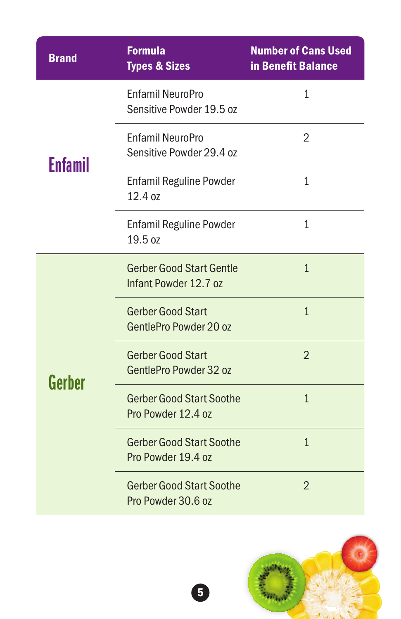| <b>Brand</b> | <b>Formula</b><br><b>Types &amp; Sizes</b>               | <b>Number of Cans Used</b><br>in Benefit Balance |
|--------------|----------------------------------------------------------|--------------------------------------------------|
|              | Enfamil NeuroPro<br>Sensitive Powder 19.5 oz             | 1                                                |
| Enfamil      | <b>Enfamil NeuroPro</b><br>Sensitive Powder 29.4 oz      | 2                                                |
|              | <b>Enfamil Reguline Powder</b><br>12.4 oz                | $\mathbf{1}$                                     |
|              | <b>Enfamil Reguline Powder</b><br>19.5 oz                | 1                                                |
|              | <b>Gerber Good Start Gentle</b><br>Infant Powder 12.7 oz | $\overline{1}$                                   |
|              | <b>Gerber Good Start</b><br>GentlePro Powder 20 oz       | $\mathbf{1}$                                     |
| Gerber       | <b>Gerber Good Start</b><br>GentlePro Powder 32 oz       | $\overline{2}$                                   |
|              | <b>Gerber Good Start Soothe</b><br>Pro Powder 12.4 oz    | $\overline{1}$                                   |
|              | <b>Gerber Good Start Soothe</b><br>Pro Powder 19.4 oz    | $\overline{1}$                                   |
|              | <b>Gerber Good Start Soothe</b><br>Pro Powder 30.6 oz    | $\overline{2}$                                   |

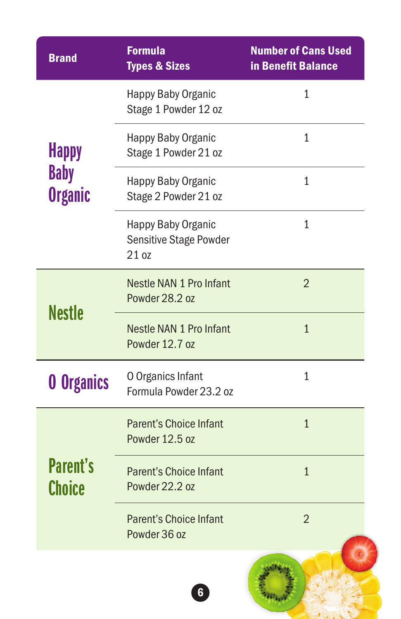| <b>Brand</b>                  | <b>Formula</b><br><b>Types &amp; Sizes</b>                   | <b>Number of Cans Used</b><br>in Benefit Balance |
|-------------------------------|--------------------------------------------------------------|--------------------------------------------------|
|                               | Happy Baby Organic<br>Stage 1 Powder 12 oz                   | 1                                                |
| <b>Happy</b>                  | Happy Baby Organic<br>Stage 1 Powder 21 oz                   | 1                                                |
| <b>Baby</b><br><b>Organic</b> | Happy Baby Organic<br>Stage 2 Powder 21 oz                   | $\mathbf{1}$                                     |
|                               | Happy Baby Organic<br><b>Sensitive Stage Powder</b><br>21 oz | 1                                                |
|                               | Nestle NAN 1 Pro Infant<br>Powder 28.2 oz                    | $\overline{2}$                                   |
| <b>Nestle</b>                 | Nestle NAN 1 Pro Infant<br>Powder 12.7 oz                    | $\mathbf{1}$                                     |
| <b>0 Organics</b>             | O Organics Infant<br>Formula Powder 23.2 oz                  | 1                                                |
|                               | <b>Parent's Choice Infant</b><br>Powder 12.5 oz              | $\mathbf{1}$                                     |
| <b>Parent's</b><br>Choice     | <b>Parent's Choice Infant</b><br>Powder 22.2 oz              | $\overline{1}$                                   |
|                               | <b>Parent's Choice Infant</b><br>Powder 36 oz                | $\overline{2}$                                   |
|                               | $6\phantom{1}6$                                              |                                                  |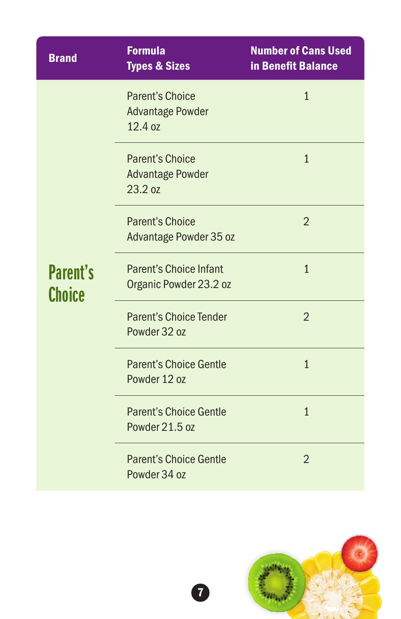| <b>Brand</b>                     | <b>Formula</b><br><b>Types &amp; Sizes</b>                   | <b>Number of Cans Used</b><br>in Benefit Balance |
|----------------------------------|--------------------------------------------------------------|--------------------------------------------------|
|                                  | <b>Parent's Choice</b><br><b>Advantage Powder</b><br>12.4 oz | $\mathbf{1}$                                     |
|                                  | <b>Parent's Choice</b><br><b>Advantage Powder</b><br>23.2 oz | $\mathbf{1}$                                     |
|                                  | <b>Parent's Choice</b><br>Advantage Powder 35 oz             | $\overline{2}$                                   |
| <b>Parent's</b><br><b>Choice</b> | <b>Parent's Choice Infant</b><br>Organic Powder 23.2 oz      | $\overline{1}$                                   |
|                                  | <b>Parent's Choice Tender</b><br>Powder 32 oz                | $\overline{2}$                                   |
|                                  | <b>Parent's Choice Gentle</b><br>Powder 12 oz                | $\overline{1}$                                   |
|                                  | <b>Parent's Choice Gentle</b><br>Powder 21.5 oz              | $\overline{1}$                                   |
|                                  | <b>Parent's Choice Gentle</b><br>Powder 34 oz                | $\overline{2}$                                   |

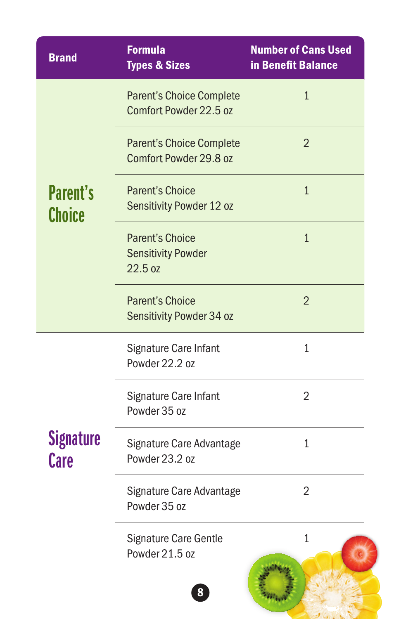| <b>Brand</b>              | <b>Formula</b><br><b>Types &amp; Sizes</b>                     | <b>Number of Cans Used</b><br>in Benefit Balance |
|---------------------------|----------------------------------------------------------------|--------------------------------------------------|
|                           | <b>Parent's Choice Complete</b><br>Comfort Powder 22.5 oz      | $\mathbf{1}$                                     |
|                           | <b>Parent's Choice Complete</b><br>Comfort Powder 29.8 oz      | $\overline{2}$                                   |
| <b>Parent's</b><br>Choice | <b>Parent's Choice</b><br>Sensitivity Powder 12 oz             | $\mathbf{1}$                                     |
|                           | <b>Parent's Choice</b><br><b>Sensitivity Powder</b><br>22.5 oz | $\overline{1}$                                   |
|                           | <b>Parent's Choice</b><br>Sensitivity Powder 34 oz             | $\overline{2}$                                   |
|                           | Signature Care Infant<br>Powder 22.2 oz                        | $\mathbf{1}$                                     |
|                           | Signature Care Infant<br>Powder 35 oz                          | $\overline{2}$                                   |
| <b>Signature</b><br>Care  | Signature Care Advantage<br>Powder 23.2 oz                     | 1                                                |
|                           | Signature Care Advantage<br>Powder 35 oz                       | 2                                                |
|                           | <b>Signature Care Gentle</b><br>Powder 21.5 oz                 | $\mathbf{1}$                                     |
|                           | 8                                                              |                                                  |

 $J(1, 1)$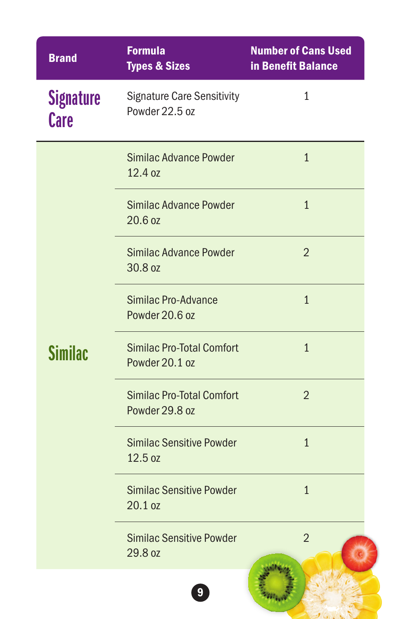| <b>Brand</b>                    | <b>Formula</b><br><b>Types &amp; Sizes</b>          | <b>Number of Cans Used</b><br>in Benefit Balance |
|---------------------------------|-----------------------------------------------------|--------------------------------------------------|
| <b>Signature</b><br><b>Care</b> | <b>Signature Care Sensitivity</b><br>Powder 22.5 oz | $\mathbf{1}$                                     |
|                                 | Similac Advance Powder<br>12.4 oz                   | $\mathbf{1}$                                     |
|                                 | Similac Advance Powder<br>20.6 oz                   | $\mathbf{1}$                                     |
|                                 | Similac Advance Powder<br>30.8 oz                   | $\overline{2}$                                   |
|                                 | Similac Pro-Advance<br>Powder 20.6 oz               | $\overline{1}$                                   |
| Similac                         | <b>Similac Pro-Total Comfort</b><br>Powder 20.1 oz  | $\mathbf{1}$                                     |
|                                 | <b>Similac Pro-Total Comfort</b><br>Powder 29.8 oz  | $\overline{2}$                                   |
|                                 | <b>Similac Sensitive Powder</b><br>12.5 oz          | $\mathbf{1}$                                     |
|                                 | <b>Similac Sensitive Powder</b><br>20.1 oz          | $\mathbf{1}$                                     |
|                                 | <b>Similac Sensitive Powder</b><br>29.8 oz          | $\overline{2}$                                   |
|                                 | $\boldsymbol{9}$                                    |                                                  |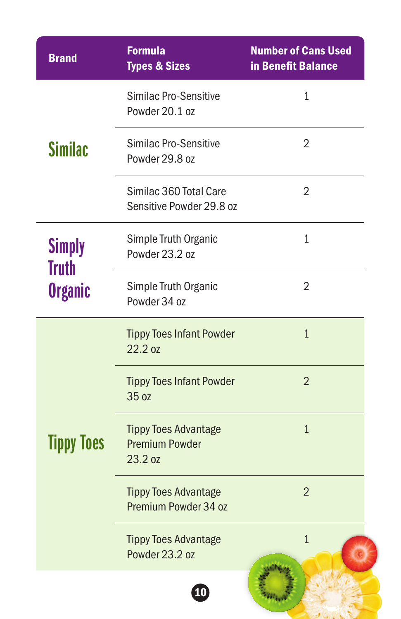| <b>Brand</b>                   | <b>Formula</b><br><b>Types &amp; Sizes</b>                      | <b>Number of Cans Used</b><br>in Benefit Balance |
|--------------------------------|-----------------------------------------------------------------|--------------------------------------------------|
|                                | <b>Similac Pro-Sensitive</b><br>Powder 20.1 oz                  | 1                                                |
| <b>Similac</b>                 | <b>Similac Pro-Sensitive</b><br>Powder 29.8 oz                  | 2                                                |
|                                | Similac 360 Total Care<br>Sensitive Powder 29.8 oz              | $\overline{2}$                                   |
| <b>Simply</b>                  | Simple Truth Organic<br>Powder 23.2 oz                          | $\mathbf{1}$                                     |
| <b>Truth</b><br><b>Organic</b> | Simple Truth Organic<br>Powder 34 oz                            | 2                                                |
| <b>Tippy Toes</b>              | <b>Tippy Toes Infant Powder</b><br>22.2 oz                      | $\mathbf{1}$                                     |
|                                | <b>Tippy Toes Infant Powder</b><br>35 oz                        | $\overline{2}$                                   |
|                                | <b>Tippy Toes Advantage</b><br><b>Premium Powder</b><br>23.2 oz | $\mathbf{1}$                                     |
|                                | <b>Tippy Toes Advantage</b><br>Premium Powder 34 oz             | $\overline{2}$                                   |
|                                | <b>Tippy Toes Advantage</b><br>Powder 23.2 oz                   | $\mathbf{1}$                                     |
|                                | $\boxed{10}$                                                    |                                                  |

 $J(x)$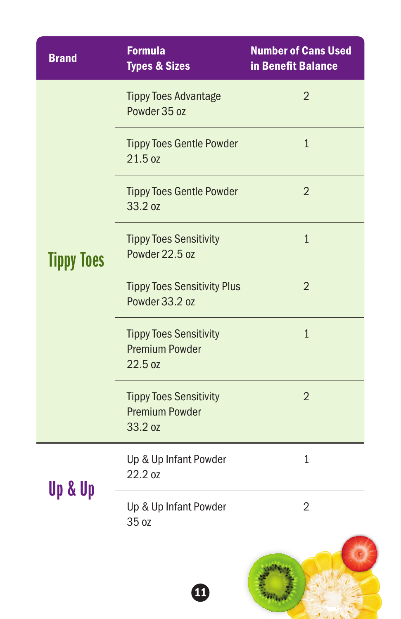| <b>Brand</b>      | <b>Formula</b><br><b>Types &amp; Sizes</b>                        | <b>Number of Cans Used</b><br>in Benefit Balance |
|-------------------|-------------------------------------------------------------------|--------------------------------------------------|
|                   | <b>Tippy Toes Advantage</b><br>Powder 35 oz                       | $\overline{2}$                                   |
|                   | <b>Tippy Toes Gentle Powder</b><br>21.5 oz                        | $\overline{1}$                                   |
|                   | <b>Tippy Toes Gentle Powder</b><br>33.2 oz                        | $\overline{2}$                                   |
| <b>Tippy Toes</b> | <b>Tippy Toes Sensitivity</b><br>Powder 22.5 oz                   | $\overline{1}$                                   |
|                   | <b>Tippy Toes Sensitivity Plus</b><br>Powder 33.2 oz              | $\overline{2}$                                   |
|                   | <b>Tippy Toes Sensitivity</b><br><b>Premium Powder</b><br>22.5 oz | $\mathbf{1}$                                     |
|                   | <b>Tippy Toes Sensitivity</b><br><b>Premium Powder</b><br>33.2 oz | $\overline{2}$                                   |
|                   | Up & Up Infant Powder<br>22.2 oz                                  | $\mathbf 1$                                      |
| Up & Up           | Up & Up Infant Powder<br>35 oz                                    | $\overline{2}$                                   |
|                   | <b>11</b>                                                         |                                                  |

 $\mathcal{L}_{\text{max}}$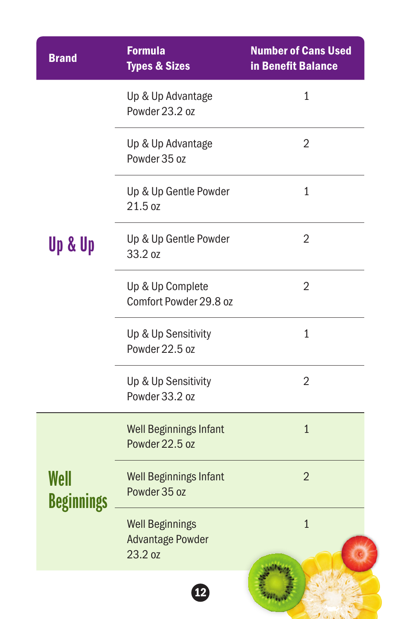| <b>Brand</b>              | <b>Formula</b><br><b>Types &amp; Sizes</b>                   | <b>Number of Cans Used</b><br>in Benefit Balance |
|---------------------------|--------------------------------------------------------------|--------------------------------------------------|
|                           | Up & Up Advantage<br>Powder 23.2 oz                          | 1                                                |
|                           | Up & Up Advantage<br>Powder 35 oz                            | $\overline{2}$                                   |
|                           | Up & Up Gentle Powder<br>21.5 oz                             | 1                                                |
| Up & Up                   | Up & Up Gentle Powder<br>33.2 oz                             | 2                                                |
|                           | Up & Up Complete<br>Comfort Powder 29.8 oz                   | $\overline{2}$                                   |
|                           | Up & Up Sensitivity<br>Powder 22.5 oz                        | 1                                                |
|                           | Up & Up Sensitivity<br>Powder 33.2 oz                        | $\overline{2}$                                   |
|                           | <b>Well Beginnings Infant</b><br>Powder 22.5 oz              | $\mathbf{1}$                                     |
| Well<br><b>Beginnings</b> | <b>Well Beginnings Infant</b><br>Powder 35 oz                | $\overline{2}$                                   |
|                           | <b>Well Beginnings</b><br><b>Advantage Powder</b><br>23.2 oz | $\mathbf{1}$                                     |
|                           | $\mathbf{P}$                                                 |                                                  |

 $\mathcal{U}(x, y)$